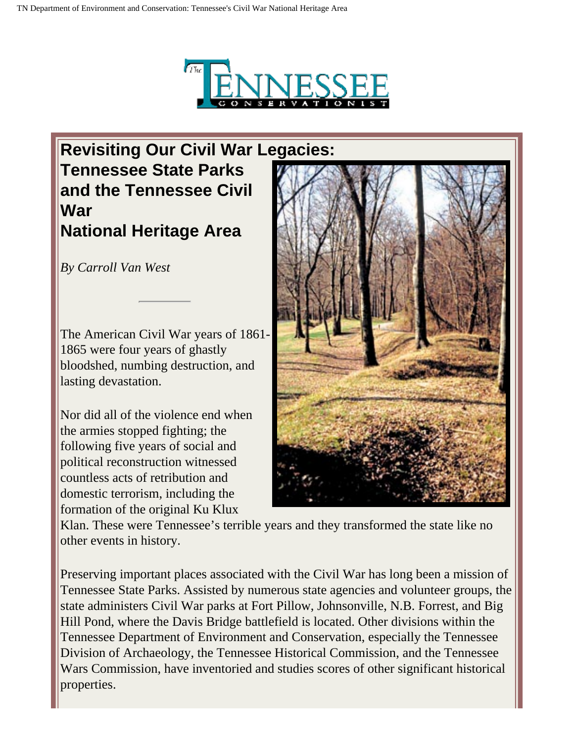

## **Revisiting Our Civil War Legacies: Tennessee State Parks and the Tennessee Civil War National Heritage Area**

*By Carroll Van West*

The American Civil War years of 1861- 1865 were four years of ghastly bloodshed, numbing destruction, and lasting devastation.

Nor did all of the violence end when the armies stopped fighting; the following five years of social and political reconstruction witnessed countless acts of retribution and domestic terrorism, including the formation of the original Ku Klux



Klan. These were Tennessee's terrible years and they transformed the state like no other events in history.

Preserving important places associated with the Civil War has long been a mission of Tennessee State Parks. Assisted by numerous state agencies and volunteer groups, the state administers Civil War parks at Fort Pillow, Johnsonville, N.B. Forrest, and Big Hill Pond, where the Davis Bridge battlefield is located. Other divisions within the Tennessee Department of Environment and Conservation, especially the Tennessee Division of Archaeology, the Tennessee Historical Commission, and the Tennessee Wars Commission, have inventoried and studies scores of other significant historical properties.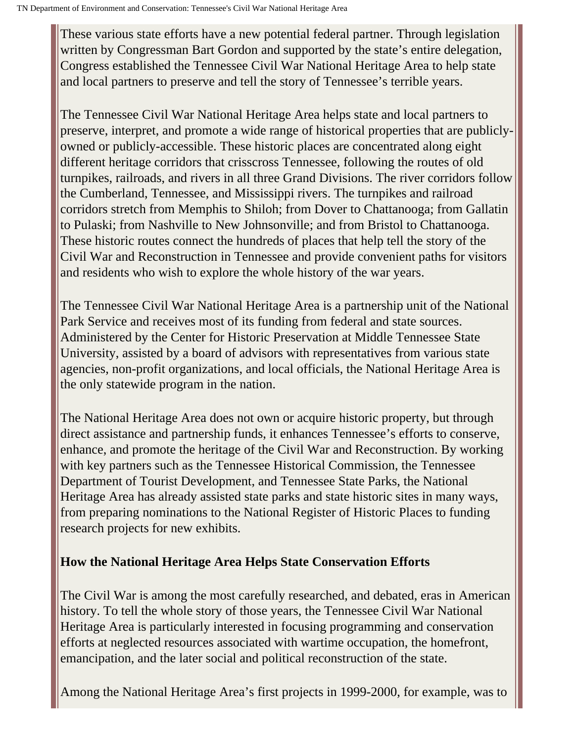These various state efforts have a new potential federal partner. Through legislation written by Congressman Bart Gordon and supported by the state's entire delegation, Congress established the Tennessee Civil War National Heritage Area to help state and local partners to preserve and tell the story of Tennessee's terrible years.

The Tennessee Civil War National Heritage Area helps state and local partners to preserve, interpret, and promote a wide range of historical properties that are publiclyowned or publicly-accessible. These historic places are concentrated along eight different heritage corridors that crisscross Tennessee, following the routes of old turnpikes, railroads, and rivers in all three Grand Divisions. The river corridors follow the Cumberland, Tennessee, and Mississippi rivers. The turnpikes and railroad corridors stretch from Memphis to Shiloh; from Dover to Chattanooga; from Gallatin to Pulaski; from Nashville to New Johnsonville; and from Bristol to Chattanooga. These historic routes connect the hundreds of places that help tell the story of the Civil War and Reconstruction in Tennessee and provide convenient paths for visitors and residents who wish to explore the whole history of the war years.

The Tennessee Civil War National Heritage Area is a partnership unit of the National Park Service and receives most of its funding from federal and state sources. Administered by the Center for Historic Preservation at Middle Tennessee State University, assisted by a board of advisors with representatives from various state agencies, non-profit organizations, and local officials, the National Heritage Area is the only statewide program in the nation.

The National Heritage Area does not own or acquire historic property, but through direct assistance and partnership funds, it enhances Tennessee's efforts to conserve, enhance, and promote the heritage of the Civil War and Reconstruction. By working with key partners such as the Tennessee Historical Commission, the Tennessee Department of Tourist Development, and Tennessee State Parks, the National Heritage Area has already assisted state parks and state historic sites in many ways, from preparing nominations to the National Register of Historic Places to funding research projects for new exhibits.

## **How the National Heritage Area Helps State Conservation Efforts**

The Civil War is among the most carefully researched, and debated, eras in American history. To tell the whole story of those years, the Tennessee Civil War National Heritage Area is particularly interested in focusing programming and conservation efforts at neglected resources associated with wartime occupation, the homefront, emancipation, and the later social and political reconstruction of the state.

Among the National Heritage Area's first projects in 1999-2000, for example, was to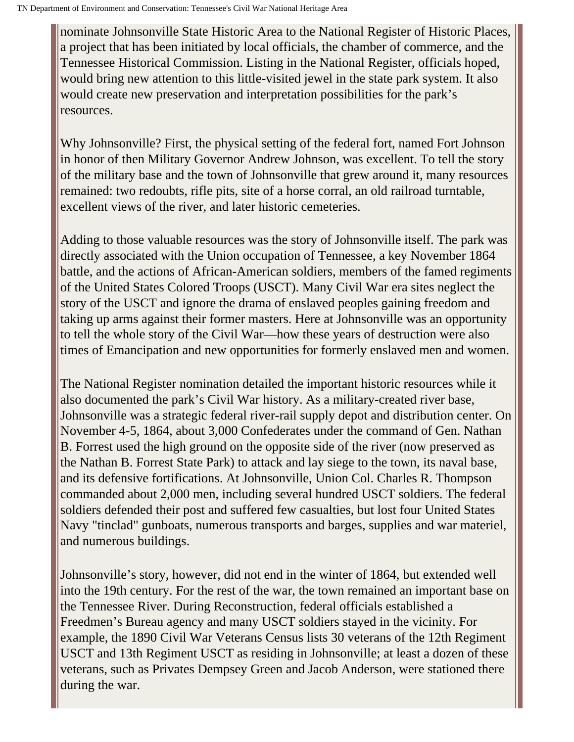nominate Johnsonville State Historic Area to the National Register of Historic Places, a project that has been initiated by local officials, the chamber of commerce, and the Tennessee Historical Commission. Listing in the National Register, officials hoped, would bring new attention to this little-visited jewel in the state park system. It also would create new preservation and interpretation possibilities for the park's resources.

Why Johnsonville? First, the physical setting of the federal fort, named Fort Johnson in honor of then Military Governor Andrew Johnson, was excellent. To tell the story of the military base and the town of Johnsonville that grew around it, many resources remained: two redoubts, rifle pits, site of a horse corral, an old railroad turntable, excellent views of the river, and later historic cemeteries.

Adding to those valuable resources was the story of Johnsonville itself. The park was directly associated with the Union occupation of Tennessee, a key November 1864 battle, and the actions of African-American soldiers, members of the famed regiments of the United States Colored Troops (USCT). Many Civil War era sites neglect the story of the USCT and ignore the drama of enslaved peoples gaining freedom and taking up arms against their former masters. Here at Johnsonville was an opportunity to tell the whole story of the Civil War—how these years of destruction were also times of Emancipation and new opportunities for formerly enslaved men and women.

The National Register nomination detailed the important historic resources while it also documented the park's Civil War history. As a military-created river base, Johnsonville was a strategic federal river-rail supply depot and distribution center. On November 4-5, 1864, about 3,000 Confederates under the command of Gen. Nathan B. Forrest used the high ground on the opposite side of the river (now preserved as the Nathan B. Forrest State Park) to attack and lay siege to the town, its naval base, and its defensive fortifications. At Johnsonville, Union Col. Charles R. Thompson commanded about 2,000 men, including several hundred USCT soldiers. The federal soldiers defended their post and suffered few casualties, but lost four United States Navy "tinclad" gunboats, numerous transports and barges, supplies and war materiel, and numerous buildings.

Johnsonville's story, however, did not end in the winter of 1864, but extended well into the 19th century. For the rest of the war, the town remained an important base on the Tennessee River. During Reconstruction, federal officials established a Freedmen's Bureau agency and many USCT soldiers stayed in the vicinity. For example, the 1890 Civil War Veterans Census lists 30 veterans of the 12th Regiment USCT and 13th Regiment USCT as residing in Johnsonville; at least a dozen of these veterans, such as Privates Dempsey Green and Jacob Anderson, were stationed there during the war.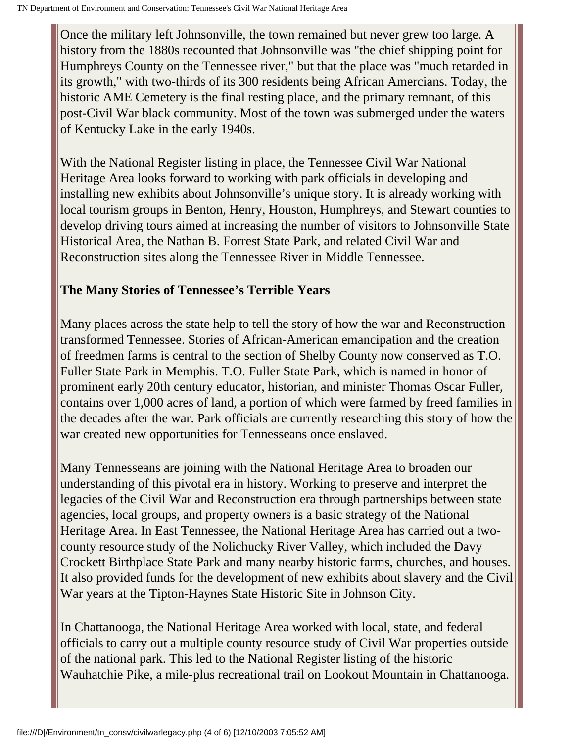Once the military left Johnsonville, the town remained but never grew too large. A history from the 1880s recounted that Johnsonville was "the chief shipping point for Humphreys County on the Tennessee river," but that the place was "much retarded in its growth," with two-thirds of its 300 residents being African Amercians. Today, the historic AME Cemetery is the final resting place, and the primary remnant, of this post-Civil War black community. Most of the town was submerged under the waters of Kentucky Lake in the early 1940s.

With the National Register listing in place, the Tennessee Civil War National Heritage Area looks forward to working with park officials in developing and installing new exhibits about Johnsonville's unique story. It is already working with local tourism groups in Benton, Henry, Houston, Humphreys, and Stewart counties to develop driving tours aimed at increasing the number of visitors to Johnsonville State Historical Area, the Nathan B. Forrest State Park, and related Civil War and Reconstruction sites along the Tennessee River in Middle Tennessee.

## **The Many Stories of Tennessee's Terrible Years**

Many places across the state help to tell the story of how the war and Reconstruction transformed Tennessee. Stories of African-American emancipation and the creation of freedmen farms is central to the section of Shelby County now conserved as T.O. Fuller State Park in Memphis. T.O. Fuller State Park, which is named in honor of prominent early 20th century educator, historian, and minister Thomas Oscar Fuller, contains over 1,000 acres of land, a portion of which were farmed by freed families in the decades after the war. Park officials are currently researching this story of how the war created new opportunities for Tennesseans once enslaved.

Many Tennesseans are joining with the National Heritage Area to broaden our understanding of this pivotal era in history. Working to preserve and interpret the legacies of the Civil War and Reconstruction era through partnerships between state agencies, local groups, and property owners is a basic strategy of the National Heritage Area. In East Tennessee, the National Heritage Area has carried out a twocounty resource study of the Nolichucky River Valley, which included the Davy Crockett Birthplace State Park and many nearby historic farms, churches, and houses. It also provided funds for the development of new exhibits about slavery and the Civil War years at the Tipton-Haynes State Historic Site in Johnson City.

In Chattanooga, the National Heritage Area worked with local, state, and federal officials to carry out a multiple county resource study of Civil War properties outside of the national park. This led to the National Register listing of the historic Wauhatchie Pike, a mile-plus recreational trail on Lookout Mountain in Chattanooga.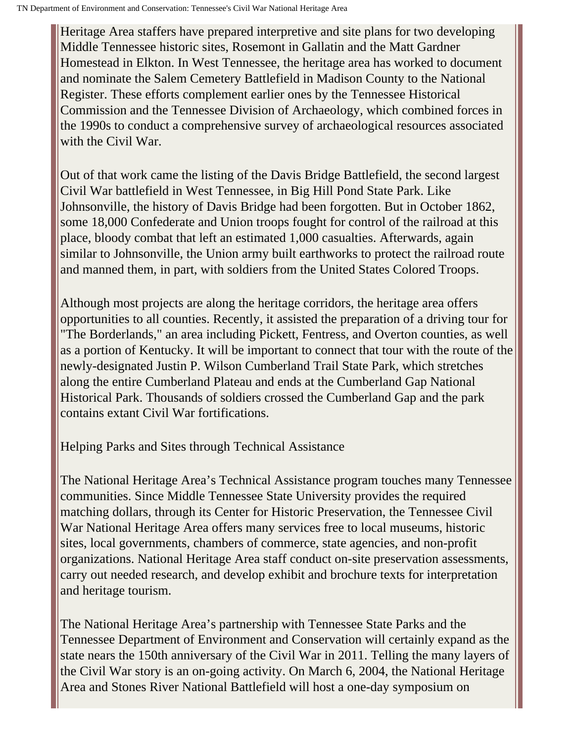Heritage Area staffers have prepared interpretive and site plans for two developing Middle Tennessee historic sites, Rosemont in Gallatin and the Matt Gardner Homestead in Elkton. In West Tennessee, the heritage area has worked to document and nominate the Salem Cemetery Battlefield in Madison County to the National Register. These efforts complement earlier ones by the Tennessee Historical Commission and the Tennessee Division of Archaeology, which combined forces in the 1990s to conduct a comprehensive survey of archaeological resources associated with the Civil War.

Out of that work came the listing of the Davis Bridge Battlefield, the second largest Civil War battlefield in West Tennessee, in Big Hill Pond State Park. Like Johnsonville, the history of Davis Bridge had been forgotten. But in October 1862, some 18,000 Confederate and Union troops fought for control of the railroad at this place, bloody combat that left an estimated 1,000 casualties. Afterwards, again similar to Johnsonville, the Union army built earthworks to protect the railroad route and manned them, in part, with soldiers from the United States Colored Troops.

Although most projects are along the heritage corridors, the heritage area offers opportunities to all counties. Recently, it assisted the preparation of a driving tour for "The Borderlands," an area including Pickett, Fentress, and Overton counties, as well as a portion of Kentucky. It will be important to connect that tour with the route of the newly-designated Justin P. Wilson Cumberland Trail State Park, which stretches along the entire Cumberland Plateau and ends at the Cumberland Gap National Historical Park. Thousands of soldiers crossed the Cumberland Gap and the park contains extant Civil War fortifications.

Helping Parks and Sites through Technical Assistance

The National Heritage Area's Technical Assistance program touches many Tennessee communities. Since Middle Tennessee State University provides the required matching dollars, through its Center for Historic Preservation, the Tennessee Civil War National Heritage Area offers many services free to local museums, historic sites, local governments, chambers of commerce, state agencies, and non-profit organizations. National Heritage Area staff conduct on-site preservation assessments, carry out needed research, and develop exhibit and brochure texts for interpretation and heritage tourism.

The National Heritage Area's partnership with Tennessee State Parks and the Tennessee Department of Environment and Conservation will certainly expand as the state nears the 150th anniversary of the Civil War in 2011. Telling the many layers of the Civil War story is an on-going activity. On March 6, 2004, the National Heritage Area and Stones River National Battlefield will host a one-day symposium on